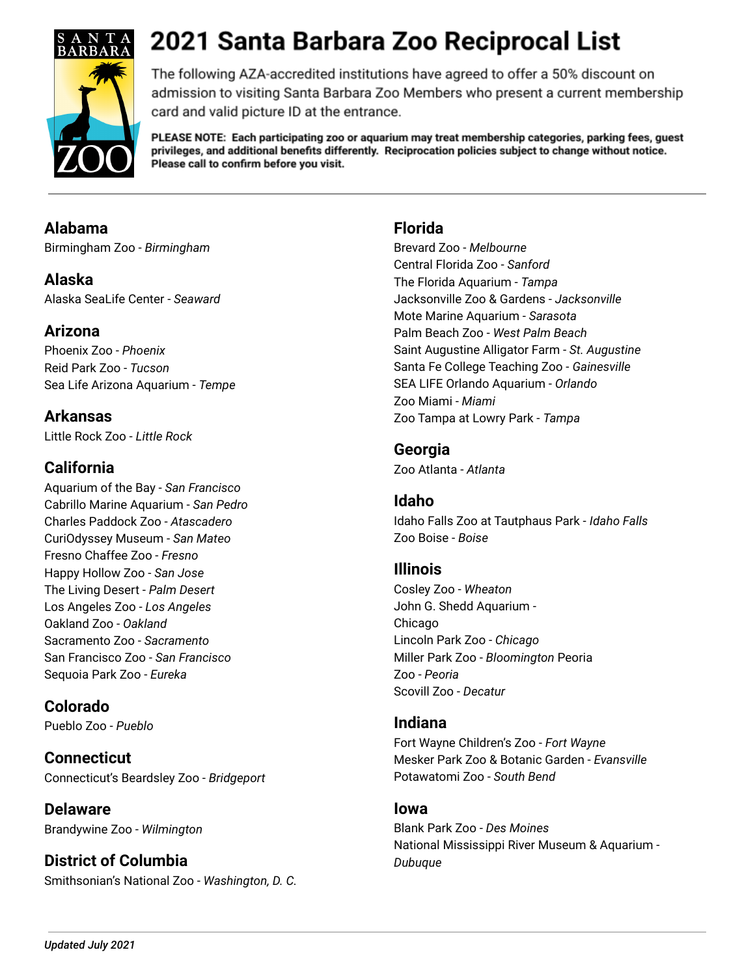

The following AZA-accredited institutions have agreed to offer a 50% discount on admission to visiting Santa Barbara Zoo Members who present a current membership card and valid picture ID at the entrance.

PLEASE NOTE: Each participating zoo or aquarium may treat membership categories, parking fees, guest privileges, and additional benefits differently. Reciprocation policies subject to change without notice. Please call to confirm before you visit.

# **Alabama**

Birmingham Zoo - *Birmingham*

**Alaska** Alaska SeaLife Center - *Seaward*

# **Arizona**

Phoenix Zoo - *Phoenix* Reid Park Zoo - *Tucson* Sea Life Arizona Aquarium - *Tempe*

**Arkansas** Little Rock Zoo - *Little Rock*

# **California**

Aquarium of the Bay - *San Francisco* Cabrillo Marine Aquarium - *San Pedro* Charles Paddock Zoo - *Atascadero* CuriOdyssey Museum - *San Mateo* Fresno Chaffee Zoo - *Fresno* Happy Hollow Zoo - *San Jose* The Living Desert - *Palm Desert* Los Angeles Zoo - *Los Angeles* Oakland Zoo - *Oakland* Sacramento Zoo - *Sacramento* San Francisco Zoo - *San Francisco* Sequoia Park Zoo - *Eureka*

# **Colorado**

Pueblo Zoo - *Pueblo*

**Connecticut** Connecticut's Beardsley Zoo - *Bridgeport*

**Delaware** Brandywine Zoo - *Wilmington*

**District of Columbia** Smithsonian's National Zoo - *Washington, D. C.*

### **Florida**

Brevard Zoo - *Melbourne* Central Florida Zoo - *Sanford* The Florida Aquarium - *Tampa* Jacksonville Zoo & Gardens - *Jacksonville* Mote Marine Aquarium - *Sarasota* Palm Beach Zoo - *West Palm Beach* Saint Augustine Alligator Farm - *St. Augustine* Santa Fe College Teaching Zoo - *Gainesville* SEA LIFE Orlando Aquarium - *Orlando* Zoo Miami - *Miami* Zoo Tampa at Lowry Park - *Tampa*

#### **Georgia**

Zoo Atlanta - *Atlanta*

# **Idaho**

Idaho Falls Zoo at Tautphaus Park - *Idaho Falls* Zoo Boise - *Boise*

#### **Illinois**

Cosley Zoo - *Wheaton* John G. Shedd Aquarium - Chicago Lincoln Park Zoo - *Chicago* Miller Park Zoo - *Bloomington* Peoria Zoo - *Peoria* Scovill Zoo - *Decatur*

#### **Indiana**

Fort Wayne Children's Zoo - *Fort Wayne* Mesker Park Zoo & Botanic Garden - *Evansville* Potawatomi Zoo - *South Bend*

#### **Iowa**

Blank Park Zoo - *Des Moines* National Mississippi River Museum & Aquarium - *Dubuque*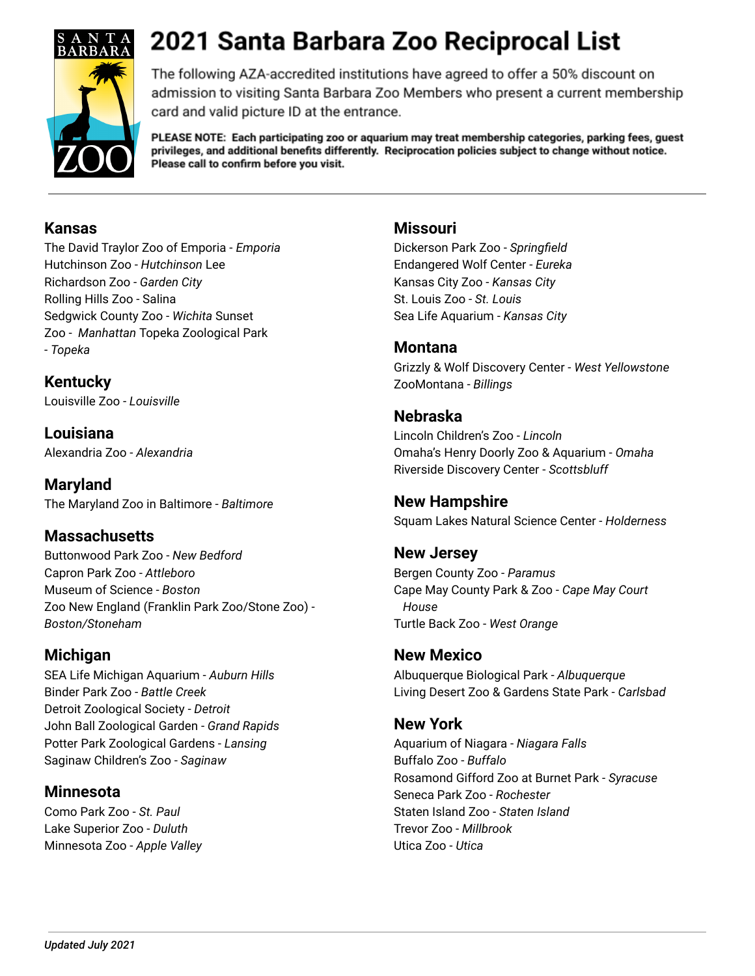

The following AZA-accredited institutions have agreed to offer a 50% discount on admission to visiting Santa Barbara Zoo Members who present a current membership card and valid picture ID at the entrance.

PLEASE NOTE: Each participating zoo or aquarium may treat membership categories, parking fees, guest privileges, and additional benefits differently. Reciprocation policies subject to change without notice. Please call to confirm before you visit.

#### **Kansas**

The David Traylor Zoo of Emporia - *Emporia* Hutchinson Zoo - *Hutchinson* Lee Richardson Zoo - *Garden City* Rolling Hills Zoo - Salina Sedgwick County Zoo - *Wichita* Sunset Zoo - *Manhattan* Topeka Zoological Park - *Topeka*

**Kentucky** Louisville Zoo - *Louisville*

**Louisiana** Alexandria Zoo - *Alexandria*

**Maryland** The Maryland Zoo in Baltimore - *Baltimore*

# **Massachusetts**

Buttonwood Park Zoo - *New Bedford* Capron Park Zoo - *Attleboro* Museum of Science - *Boston* Zoo New England (Franklin Park Zoo/Stone Zoo) - *Boston/Stoneham*

# **Michigan**

SEA Life Michigan Aquarium - *Auburn Hills* Binder Park Zoo - *Battle Creek* Detroit Zoological Society - *Detroit* John Ball Zoological Garden - *Grand Rapids* Potter Park Zoological Gardens - *Lansing* Saginaw Children's Zoo - *Saginaw*

# **Minnesota**

Como Park Zoo - *St. Paul* Lake Superior Zoo - *Duluth* Minnesota Zoo - *Apple Valley*

#### **Missouri**

Dickerson Park Zoo - *Springfield* Endangered Wolf Center - *Eureka* Kansas City Zoo - *Kansas City* St. Louis Zoo - *St. Louis* Sea Life Aquarium - *Kansas City*

#### **Montana**

Grizzly & Wolf Discovery Center - *West Yellowstone* ZooMontana - *Billings*

# **Nebraska**

Lincoln Children's Zoo - *Lincoln* Omaha's Henry Doorly Zoo & Aquarium - *Omaha* Riverside Discovery Center - *Scottsbluff*

# **New Hampshire**

Squam Lakes Natural Science Center - *Holderness*

# **New Jersey**

Bergen County Zoo - *Paramus* Cape May County Park & Zoo - *Cape May Court House* Turtle Back Zoo - *West Orange*

#### **New Mexico**

Albuquerque Biological Park - *Albuquerque* Living Desert Zoo & Gardens State Park - *Carlsbad*

#### **New York**

Aquarium of Niagara - *Niagara Falls* Buffalo Zoo - *Buffalo* Rosamond Gifford Zoo at Burnet Park - *Syracuse* Seneca Park Zoo - *Rochester* Staten Island Zoo - *Staten Island* Trevor Zoo - *Millbrook* Utica Zoo - *Utica*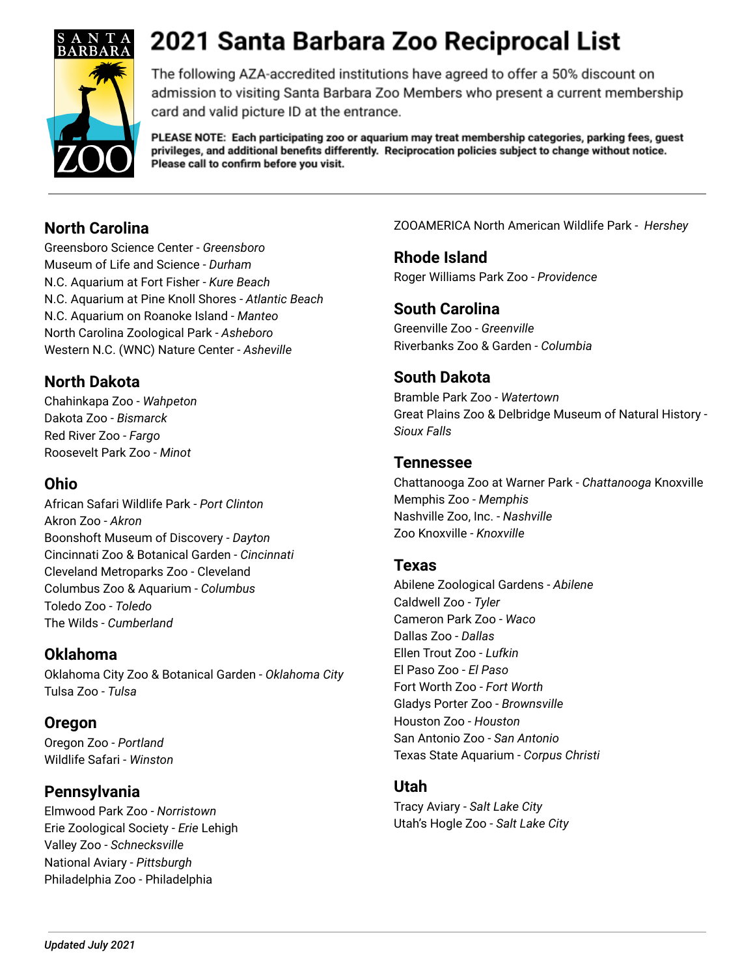

The following AZA-accredited institutions have agreed to offer a 50% discount on admission to visiting Santa Barbara Zoo Members who present a current membership card and valid picture ID at the entrance.

PLEASE NOTE: Each participating zoo or aquarium may treat membership categories, parking fees, guest privileges, and additional benefits differently. Reciprocation policies subject to change without notice. Please call to confirm before you visit.

# **North Carolina**

Greensboro Science Center - *Greensboro* Museum of Life and Science - *Durham* N.C. Aquarium at Fort Fisher - *Kure Beach* N.C. Aquarium at Pine Knoll Shores - *Atlantic Beach* N.C. Aquarium on Roanoke Island - *Manteo* North Carolina Zoological Park - *Asheboro* Western N.C. (WNC) Nature Center - *Asheville*

# **North Dakota**

Chahinkapa Zoo - *Wahpeton* Dakota Zoo - *Bismarck* Red River Zoo - *Fargo* Roosevelt Park Zoo - *Minot*

# **Ohio**

African Safari Wildlife Park - *Port Clinton* Akron Zoo - *Akron* Boonshoft Museum of Discovery - *Dayton* Cincinnati Zoo & Botanical Garden - *Cincinnati* Cleveland Metroparks Zoo - Cleveland Columbus Zoo & Aquarium - *Columbus* Toledo Zoo - *Toledo* The Wilds - *Cumberland*

# **Oklahoma**

Oklahoma City Zoo & Botanical Garden - *Oklahoma City* Tulsa Zoo - *Tulsa*

# **Oregon**

Oregon Zoo - *Portland* Wildlife Safari - *Winston*

# **Pennsylvania**

Elmwood Park Zoo - *Norristown* Erie Zoological Society - *Erie* Lehigh Valley Zoo - *Schnecksville* National Aviary - *Pittsburgh* Philadelphia Zoo - Philadelphia

ZOOAMERICA North American Wildlife Park - *Hershey*

**Rhode Island** Roger Williams Park Zoo - *Providence*

### **South Carolina**

Greenville Zoo - *Greenville* Riverbanks Zoo & Garden - *Columbia*

# **South Dakota**

Bramble Park Zoo - *Watertown* Great Plains Zoo & Delbridge Museum of Natural History - *Sioux Falls*

### **Tennessee**

Chattanooga Zoo at Warner Park - *Chattanooga* Knoxville Memphis Zoo - *Memphis* Nashville Zoo, Inc. - *Nashville* Zoo Knoxville - *Knoxville*

#### **Texas**

Abilene Zoological Gardens - *Abilene* Caldwell Zoo - *Tyler* Cameron Park Zoo - *Waco* Dallas Zoo - *Dallas* Ellen Trout Zoo - *Lufkin* El Paso Zoo - *El Paso* Fort Worth Zoo - *Fort Worth* Gladys Porter Zoo - *Brownsville* Houston Zoo - *Houston* San Antonio Zoo - *San Antonio* Texas State Aquarium - *Corpus Christi*

#### **Utah**

Tracy Aviary - *Salt Lake City* Utah's Hogle Zoo - *Salt Lake City*